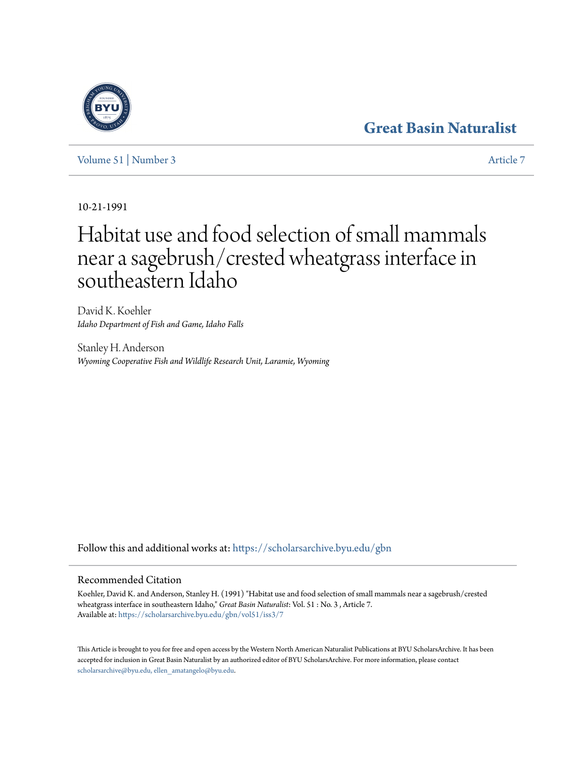# **[Great Basin Naturalist](https://scholarsarchive.byu.edu/gbn?utm_source=scholarsarchive.byu.edu%2Fgbn%2Fvol51%2Fiss3%2F7&utm_medium=PDF&utm_campaign=PDFCoverPages)**

[Volume 51](https://scholarsarchive.byu.edu/gbn/vol51?utm_source=scholarsarchive.byu.edu%2Fgbn%2Fvol51%2Fiss3%2F7&utm_medium=PDF&utm_campaign=PDFCoverPages) | [Number 3](https://scholarsarchive.byu.edu/gbn/vol51/iss3?utm_source=scholarsarchive.byu.edu%2Fgbn%2Fvol51%2Fiss3%2F7&utm_medium=PDF&utm_campaign=PDFCoverPages) [Article 7](https://scholarsarchive.byu.edu/gbn/vol51/iss3/7?utm_source=scholarsarchive.byu.edu%2Fgbn%2Fvol51%2Fiss3%2F7&utm_medium=PDF&utm_campaign=PDFCoverPages)

10-21-1991

# Habitat use and food selection of small mammals near a sagebrush/crested wheatgrass interface in southeastern Idaho

David K. Koehler *Idaho Department of Fish and Game, Idaho Falls*

Stanley H. Anderson *Wyoming Cooperative Fish and Wildlife Research Unit, Laramie, Wyoming*

Follow this and additional works at: [https://scholarsarchive.byu.edu/gbn](https://scholarsarchive.byu.edu/gbn?utm_source=scholarsarchive.byu.edu%2Fgbn%2Fvol51%2Fiss3%2F7&utm_medium=PDF&utm_campaign=PDFCoverPages)

### Recommended Citation

Koehler, David K. and Anderson, Stanley H. (1991) "Habitat use and food selection of small mammals near a sagebrush/crested wheatgrass interface in southeastern Idaho," *Great Basin Naturalist*: Vol. 51 : No. 3 , Article 7. Available at: [https://scholarsarchive.byu.edu/gbn/vol51/iss3/7](https://scholarsarchive.byu.edu/gbn/vol51/iss3/7?utm_source=scholarsarchive.byu.edu%2Fgbn%2Fvol51%2Fiss3%2F7&utm_medium=PDF&utm_campaign=PDFCoverPages)

This Article is brought to you for free and open access by the Western North American Naturalist Publications at BYU ScholarsArchive. It has been accepted for inclusion in Great Basin Naturalist by an authorized editor of BYU ScholarsArchive. For more information, please contact [scholarsarchive@byu.edu, ellen\\_amatangelo@byu.edu.](mailto:scholarsarchive@byu.edu,%20ellen_amatangelo@byu.edu)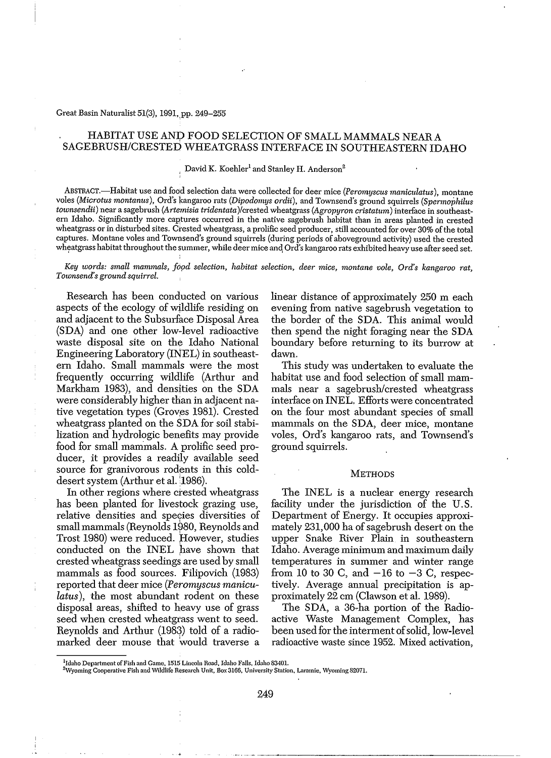#### Great Basin Naturalist 51(3), 1991, pp. 249-255

#### HABITAT USE AND FOOD SELECTION OF SMALL MAMMALS NEAR A SAGEBRUSH/CRESTED WHEATGRASS INTERFACE IN SOUTHEASTERN IDAHO

## $\frac{1}{2}$  David K. Koehler $^1$  and Stanley H. Anderson $^2$

ABSTRACT.-Habitat use and food selection data were collected for deer mice *(Peromyscus maniculatus),* montane voles *(Microtus montanus),* Ord's kangaroo rats *(Dipodomys ordii),* and Townsend's ground squirrels *(Spermophilus townsendii*) near a sagebrush (Artemisia tridentata)/crested wheatgrass (Agropyron cristatum) interface in southeastem Idaho. Significantly more captures occurred in the native sagebrush habitat than in areas planted in crested wheatgrass or in disturbed sites. Crested wheatgrass, a prolific seed producer, still accounted for over 30% of the total captures. Montane voles and Townsend's ground squirrels (during periods of aboveground activity) used the crested wheatgrass habitat throughout the summer, while deer mice and Ord's kangaroo rats exhibited heavy use after seed set.

*Key words: small mammals, fopd selection, habitat selection, deer mice, montane vole, Ord's kangaroo rat, Townsend's ground squirrel.*

Research has been conducted on various aspects of the ecology of wildlife residing on and adjacent to the Subsurface Disposal Area (SDA) and one other low-level radioactive waste disposal site on the Idaho National Engineering Laboratory (INEL) in southeastern Idaho. Small mammals were the most frequently occurring wildlife (Arthur and Markham 1983), and densities on the SDA were considerably higher than in adjacent native vegetation types (Groves 1981). Crested wheatgrass planted on the SDA for soil stabilization and hydrologic benefits may provide food for small mammals. A prolific seed producer, it provides a readily available seed source for granivorous rodents in this colddesert system (Arthur et al. 1986).

In other regions where crested wheatgrass has been planted for livestock grazing use, relative densities and species diversities of small mammals (Reynolds 1980, Reynolds and Trost 1980) were reduced. However, studies conducted on the INEL have shown that crested wheatgrass seedings are used by small mammals as food sources. Filipovich (1983) reported that deer mice *(Peromyscus maniculatus),* the most abundant rodent on these disposal areas, shifted to heavy use of grass seed when crested wheatgrass went to seed. Reynolds and Arthur (1983) told of a radiomarked deer mouse that would traverse a linear distance of approximately 250 m each evening from native sagebrush vegetation to the border of the SDA. This animal would then spend the night foraging near the SDA boundary before returning to its burrow at dawn.

This study was undertaken to evaluate the habitat use and food selection of small mammals near a sagebrush/crested wheatgrass interface on INEL. Efforts were concentrated on the four most abundant species of small mammals on the SDA, deer mice, montane voles, Ord's kangaroo rats, and Townsend's ground squirrels.

#### **METHODS**

The INEL is a nuclear energy research facility under the jurisdiction of the U.S. Department of Energy. It occupies approximately 231,000 ha of sagebrush desert on the upper Snake River Plain. in southeastern Idaho. Average minimum and maximum daily temperatures in summer and winter range from 10 to 30 C, and  $-16$  to  $-3$  C, respectively. Average annual precipitation is approximately 22 cm (Clawson et al. 1989).

The SDA, a 36-ha portion of the Radioactive Waste Management Complex, has been used for the interment of solid, low-level radioactive waste since 1952. Mixed activation,

<sup>&</sup>lt;sup>1</sup>Idaho Department of Fish and Game, 1515 Lincoln Road, Idaho Falls, Idaho 83401.

<sup>&</sup>lt;sup>2</sup>Wyoming Cooperative Fish and Wildlife Research Unit, Box 3166, University Station, Laramie, Wyoming 82071.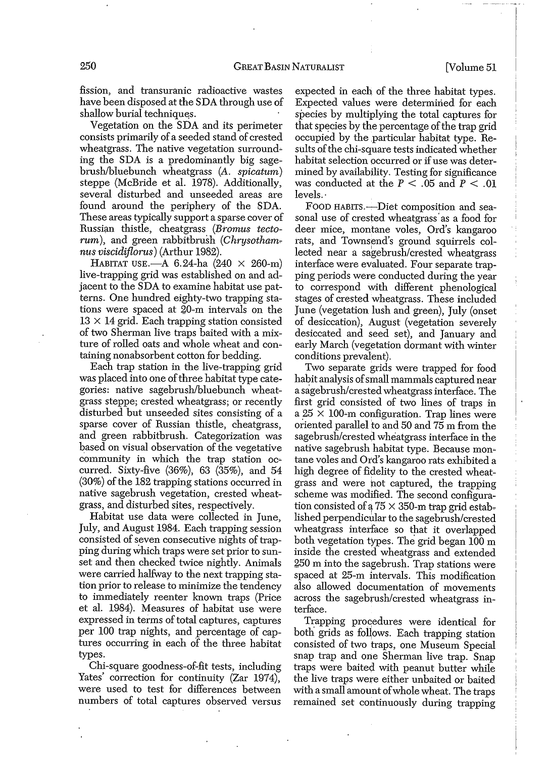fission, and transuranic radioactive wastes have been disposed at the SDA through use of shallow burial techniques.

Vegetation on the SDA and its perimeter consists primarily of a seeded stand of crested wheatgrass. The native vegetation surrounding the SDA is a predominantly big sagebrushlbluebunch wheatgrass *(A. spicatum)* steppe (McBride et al. 1978). Additionally, several disturbed and unseeded areas are found around the periphery of the SDA. These areas typically support a sparse cover of Russian thistle, cheatgrass *(Bromus tectorum*), and green rabbitbrush *(Chrysothamnus viscidijlorus)* (Arthur 1982).

HABITAT USE. $-A$  6.24-ha (240  $\times$  260-m) live-trapping grid was established on and adjacent to the SDA to examine habitat use patterns. One hundred eighty-two trapping stations were spaced at 20-m intervals on the  $13 \times 14$  grid. Each trapping station consisted of two Sherman live traps baited with a mixture of rolled oats and whole wheat and containing nonabsorbent cotton for bedding.

Each trap station in the live-trapping grid was placed into one of three habitat type categories: native sagebrush/bluebunch wheatgrass steppe; crested wheatgrass; or recently disturbed but unseeded sites consisting of a sparse cover of Russian thistle, cheatgrass, and green rabbitbrush. Categorization was based on visual observation of the vegetative community in which the trap station occurred. Sixty-five (36%), 63 (35%), and 54  $(30\%)$  of the 182 trapping stations occurred in native sagebrush vegetation, crested wheatgrass, and disturbed sites, respectively.

Habitat use data were collected in June, July, and August 1984. Each trapping session consisted of seven consecutive nights of trapping during which traps were set prior to sunset and then checked twice nightly. Animals were carried halfway to the next trapping station prior to release to minimize the tendency to immediately reenter known traps (Price et al. 1984). Measures of habitat use were expressed in terms of total captures, captures per 100 trap nights, and percentage of captures occurring in each of the three habitat types.

Chi-square goodness-of-fit tests, including Yates' correction for continuity (Zar 1974), were used to test for differences between numbers of total captures observed versus expected in each of the three habitat types. Expected values were determined for each species by multiplying the total captures for that species by the percentage of the trap grid occupied by the particular habitat type. Results of the chi-square tests indicated whether habitat selection occurred or if use was determined by availability. Testing for significance was conducted at the  $P < .05$  and  $P < .01$ levels.'

FOOD HABITS.-Diet composition and seasonal use of crested wheatgrass' as a food for deer mice, montane voles, Ord's kangaroo rats, and Townsend's ground squirrels collected near a sagebrush/crested wheatgrass interface were evaluated. Four separate trapping periods were conducted during the year to correspond with different phenological stages of crested wheatgrass. These included June (vegetation lush and green), July (onset of desiccation), August (vegetation severely desiccated and seed set), and January and early March (vegetation dormant with winter conditions prevalent).

Two separate grids were trapped for food habit analysis ofsmall mammals captured near a sagebrush/crested wheatgrass interface. The first grid consisted of two lines of traps in a  $25 \times 100$ -m configuration. Trap lines were oriented parallel to and 50 and 75 m from the sagebrush/crested wheatgrass interface in the native sagebrush habitat type. Because mon~ tane voles and Ord's kangaroo rats exhibited a high degree of fidelity to the crested wheatgrass and were hot captured, the trapping scheme was modified. The second configuration consisted of a  $75 \times 350$ -m trap grid established perpendicular to the sagebrush/crested wheatgrass interface so that it overlapped both vegetation types. The grid began 100 m inside the crested wheatgrass and extended 250 m into the sagebrush. Trap stations were spaced at 25-m intervals. This modification also allowed documentation of movements across the sagebrush/crested wheatgrass interface.

Trapping procedures were identical for both grids as follows. Each trapping station consisted of two traps, one Museum Special snap trap and one Sherman live trap. Snap traps were baited with peanut butter while the live traps were either unbaited or baited with a small amount ofwhole wheat. The traps remained set continuously during trapping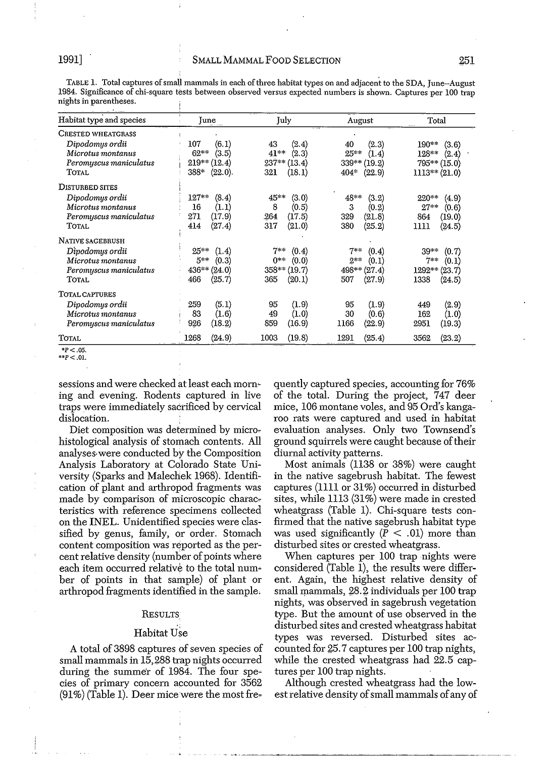TABLE 1. Total captures ofsmall mammals in each ofthree habitat types on and adjacent to the SDA, June-August 1984. Significance of chi-square tests between observed versus expected numbers is shown. Captures per 100 trap nights in parentheses.

| Habitat type and species | June            | July           | August           | Total           |
|--------------------------|-----------------|----------------|------------------|-----------------|
| CRESTED WHEATGRASS       |                 |                |                  |                 |
| Dipodomys ordii          | 107             | 43             | 40               | $190**$         |
|                          | (6.1)           | (2.4)          | (2.3)            | (3.6)           |
| Microtus montanus        | $62***$         | $41***$        | $25^{***}$       | $128**$         |
|                          | (3.5)           | (2.3)          | (1.4)            | (2.4)           |
| Peromyscus maniculatus   | $219**$ (12.4)  | $237**$ (13.4) | $339**$ (19.2)   | 795** (15.0)    |
| <b>TOTAL</b>             | 388*<br>(22.0). | 321<br>(18.1)  | $404*$<br>(22.9) | $1113** (21.0)$ |
| <b>DISTURBED SITES</b>   |                 |                |                  |                 |
| Dipodomys ordii          | $127**$         | 45**           | $48**$           | 220**           |
|                          | (8.4)           | (3.0)          | (3.2)            | (4.9)           |
| Microtus montanus        | 16              | 8              | 3                | $27**$          |
|                          | (1.1)           | (0.5)          | (0.2)            | (0.6)           |
| Peromyscus maniculatus   | 271             | 264            | 329              | 864             |
|                          | (17.9)          | (17.5)         | (21.8)           | (19.0)          |
| TOTAL                    | (27.4)          | 317            | 380              | 1111            |
|                          | 414             | (21.0)         | (25.2)           | (24.5)          |
| NATIVE SAGEBRUSH         |                 |                |                  |                 |
| Dipodomys ordii          | $25***$         | 7**            | $7**$            | $39***$         |
|                          | (1.4)           | (0.4)          | (0.4)            | (0.7)           |
| Microtus montanus        | $5**$           | 0**            | $2**$            | $7**$           |
|                          | (0.3)           | (0.0)          | (0.1)            | (0.1)           |
| Peromyscus maniculatus   | 436** (24.0)    | $358**$ (19.7) | $498** (27.4)$   | $1292** (23.7)$ |
| TOTAL                    | 466             | 365            | 507              | 1338            |
|                          | (25.7)          | (20.1)         | (27.9)           | (24.5)          |
| <b>TOTAL CAPTURES</b>    |                 |                |                  |                 |
| Dipodomys ordii          | (5.1)           | 95             | (1.9)            | (2.9)           |
|                          | 259             | (1.9)          | 95               | 449             |
| Microtus montanus        | 83              | 49             | (0.6)            | 162             |
|                          | (1.6)           | (1.0)          | 30               | (1.0)           |
| Peromyscus maniculatus   | (18.2)          | 859            | 1166             | 2951            |
|                          | 926             | (16.9)         | (22.9)           | (19.3)          |
| <b>TOTAL</b>             | 1268            | 1003           | 1291             | 3562            |
|                          | (24.9)          | (19.8)         | (25.4)           | (23.2)          |
|                          |                 |                |                  |                 |

*\*P<.05. \*\*p< .01.*

sessions and were checked at least each mom~ ing and evening. Rodents captured in live traps were immediately sacrificed by cervical dislocation.

Diet composition was determined by microhistological analysis of stomach contents. All analyses.were conducted by the Composition Analysis Laboratory at Colorado State University (Sparks and Malechek 1968). Identifi~ cation of plant and arthropod fragments was made by comparison of microscopic characteristics with reference specimens collected on the INEL. Unidentified species were classified by genus, family, or order. Stomach content composition was reported as the percent relative density (number of points where each item occurred relative to the total number of points in that sample) of plant or arthropod fragments identified in the sample.

#### **RESULTS:**

#### Habitat Use

A total of 3898 captures of seven species of small mammals in 15,288 trap nights occurred during the summer of 1984. The four species of primary concem accounted for 3562  $(91%)$  (Table 1). Deer mice were the most frequently captured species, accounting for 76% of the total. During the project, 747 deer mice, 106 montane voles, and 95 Ord's kangaroo rats were captured and used in habitat evaluation analyses. Only two Townsend's ground squirrels were caught because of their diumal activity pattems.

Most animals (1138 or 38%) were caught in the native sagebrush habitat. The fewest captures (1111 or 31%) occurred in disturbed sites, while 1113 (31%) were made in crested wheatgrass (Table 1). Chi-square tests confirmed that the native sagebrush habitat type was used significantly  $(P < .01)$  more than disturbed sites or crested wheatgrass.

When captures per 100 trap nights were considered (Table 1), the results were different. Again, the highest relative density of small mammals, 28.2 individuals per 100 trap nights, was observed in sagebrush vegetation type. But the amount of use observed in the disturbed sites and crested wheatgrass habitat types was reversed. Disturbed sites accounted for 25.7 captures per 100 trap nights, while the crested wheatgrass had 22.5 captures per 100 trap nights.

Although crested wheatgrass had the lowest relative density of small mammals of any of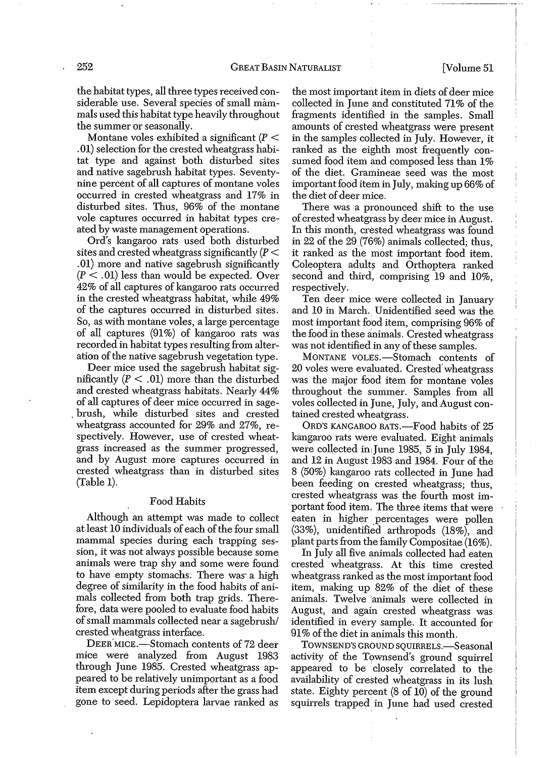the habitat types, all three types received considerable use. Several species of small mammals used this habitat type heavily throughout the summer or seasonally.

Montane voles exhibited a significant  $(P <$ .01) selection for the crested wheatgrass habitat type and against both disturbed sites and native sagebrush habitat types. Seventynine percent of all captures of montane voles occurred in crested wheatgrass and 17% in disturbed sites. Thus, 96% of the montane vole captures occurred in habitat types created by waste management operations.

Ord's kangaroo rats used both disturbed sites and crested wheatgrass significantly  $(P <$ .01) more and native sagebrush significantly  $(P < .01)$  less than would be expected. Over 42% of all captures of kangaroo rats occurred in the crested wheatgrass habitat, while 49% of the captures occurred in disturbed sites. So, as with montane voles, a large percentage of all captures (91%) of kangaroo rats was recorded in habitat types resulting from alteration of the native sagebrush vegetation type.

Deer mice used the sagebrush habitat significantly  $(P < .01)$  more than the disturbed and crested wheatgrass habitats. Nearly 44% of all captures of deer mice occurred in sage- . brush, while disturbed sites and crested wheatgrass accounted for 29% and 27%, respectively. However, use of crested wheatgrass increased as the summer progressed, and by August more captures occurred in crested. wheatgrass than in disturbed sites (Table 1).

#### Food Habits

Although an attempt was made to collect at least 10 individuals of each of the four small mammal species during each trapping session, it was not always possible because some animals were trap shy and some were found to have empty stomachs. There was' a high degree of similarity in the food habits of animals collected from both trap grids. Therefore, data were pooled to evaluate food habits of small mammals collected near a sagebrush/ crested wheatgrass interface.

DEER MICE.-Stomach contents of 72 deer mice were analyzed from August 1983 through June 1985. Crested wheatgrass appeared to be relatively unimportant as a food item except during periods after the grass had gone to seed. Lepidoptera larvae ranked as the most important item in diets of deer mice collected in June and constituted 71% of the fragments identified in the samples. Small amounts of crested wheatgrass were present in the samples collected in July. However, it ranked as the eighth most frequently consumed food item and composed less than 1% of the diet. Gramineae seed was the most important food item in July, making up 66% of the diet of deer mice.

There was a pronounced shift to the use of crested wheatgrass by deer mice in August. In this month, crested wheatgrass was found in 22 of the 29 (76%) animals collected; thus, it ranked as the most important food item. Coleoptera adults and Orthoptera ranked second and third, comprising 19 and 10%, respectively.

Ten deer mice were collected in January and 10 in March. Unidentified seed was the most important food item, comprising 96% of the food in these animals. Crested wheatgrass was not identified in any of these samples.

MONTANE VOLES.-Stomach contents of 20 voles were evaluated. Crested'wheatgrass was the major food item for montane voles throughout the summer. Samples from all voles collected in June, July, and August contained crested wheatgrass.

ORD'S KANGAROO RATS.-Food habits of 25 kangaroo rats wete evaluated. Eight animals were collected in June 1985, 5 in July 1984, and 12 in August 1983 and 1984. Four of the 8 (50%) kangaroo rats collected in June had been feeding on crested wheatgrass; thus, crested wheatgrass was the fourth most important food item, The three items that were eaten in higher percentages were pollen (33%), unidentified arthropods (18%), and plant parts from the family Compositae (16%).

In July all five animals collected had eaten crested wheatgrass. At this time crested wheatgrass ranked as the most important food item, making up 82% of the diet of these animals. Twelve 'animals were collected in August, and again crested wheatgrass was identified in every sample. It accounted for 91% of the diet in animals this month.

TOWNSEND'S GROUND SQUIRRELS.-Seasonal activity of the Townsend's ground squirrel appeared to be closely correlated to the availability of crested wheatgrass in its lush state. Eighty percent (8 of 10) of the ground squirrels trapped in June had used crested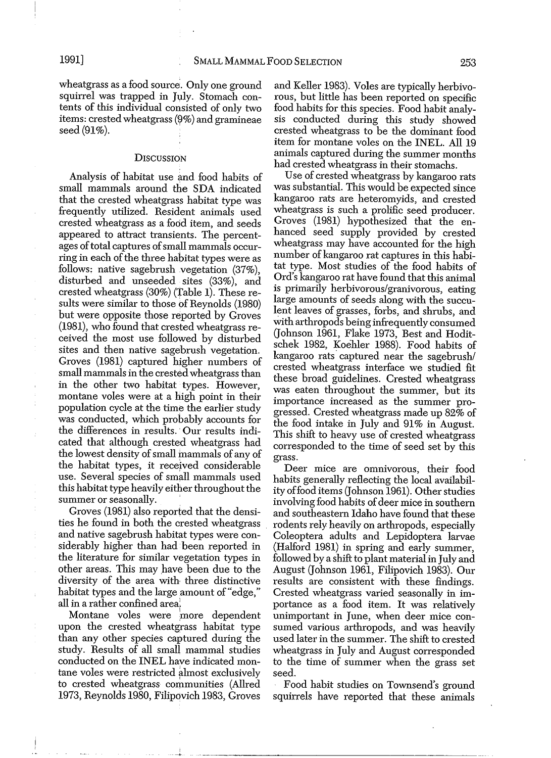wheatgrass as a food source. Only one ground squirrel was trapped in July. Stomach contents of this individual consisted of only two items: crested wheatgrass  $(9%)$  and gramineae seed (91\%).

#### **DISCUSSION**

Analysis of habitat use and food habits of small mammals around the SDA indicated that the crested wheatgrass habitat type was frequently utilized. Resident animals used crested wheatgrass as a fodd item, and seeds appeared to attract transients. The percentages of total captures of small mammals occurring in each of the three habitat types were as follows: native sagebrush vegetation (37%), disturbed and unseeded sites (33%), and crested wheatgrass (30%) (Table 1). These results were similar to those of Reynolds (1980) but were opposite those reported by Groves (1981), who found that crested wheatgrass received the most use followed by disturbed sites and then native sagebrush vegetation. Groves (1981) captured higher numbers of small mammals in the crested wheatgrass than in the other two habitat types. However, montane voles were at a high point in their population cycle at the time the earlier study was conducted, which probably accounts for the differences in results. 'Our results indicated that although crested wheatgrass had the lowest density of small mammals of any of the habitat types, it received considerable use. Several species of small mammals used this habitat type heavily either throughout the summer or seasonally.

Groves (1981) also reported that the densities he found in both the crested wheatgrass and native sagebrush habitat types were considerably higher than had been reported in the literature for similar vegetation types in other areas. This may have been due to the diversity of the area with three distinctive habitat types and the large amount of "edge," all in a rather confined area.

Montane voles were more dependent upon the crested wheatgrass habitat type than any other species captured during the study. Results of all small mammal studies conducted on the INEL have indicated montane voles were restricted almost exclusively to crested wheatgrass communities (Allred 1973, Reynolds 1980, Filipovich 1983, Groves

and Keller 1983). Voles are typically herbivorous, but little has been reported on specific food habits for this species. Food habit analysis conducted during this study showed crested wheatgrass to be the dominant food item for montane voles on the INEL. All 19 animals captured during the summer months had crested wheatgrass in their stomachs.

Use of crested wheatgrass by kangaroo rats was substantial. This would be expected since kangaroo rats are heteromyids, and crested wheatgrass is such a prolific seed producer. Groves (1981) hypothesized that the enhanced seed supply provided by crested wheatgrass may have accounted for the high number of kangaroo rat captures in this habitat type. Most studies of the food habits of Ord's kangaroo rat have found that this animal is primarily herbivorous/granivorous, eating large amounts of seeds along with the succulent leaves of grasses, forbs, and shrubs, and With arthropods being infrequently consumed (Johnson 1961, Flake 1973, Best and Hoditschek 1982, Koehler 1988). Food habits of kangaroo rats' captured near the sagebrush/ crested wheatgrass interface we studied fit these broad guidelines. Crested wheatgrass was eaten throughout the summer, but its importance increased as the summer progressed. Crested wheatgrass made up 82% of the food intake in July and 91% in August. This shift to heavy use of crested wheatgrass corresponded to the time of seed set by this grass.

Deer mice are omnivorous, their food habits generally reflecting the local availability of food items (Johnson 1961). Other studies involving food habits of deer mice in southern and southeastern Idaho have found that these rodents rely heavily on arthropods, especially Coleoptera adults and Lepidoptera larvae (Halford 1981) in spring and early summer, followed by a shift to plant material in July and August (Johnson 1961, Filipovich 1983). Our results are consistent with these findings. Crested wheatgrass varied seasonally in importance as a food item. It was relatively unimportant in June, when deer mice consumed various arthropods, and was heavily used later in the summer. The shift to crested wheatgrass in July and August corresponded to the time of summer when the grass set seed.

Food habit studies on Townsend's ground squirrels have reported that these animals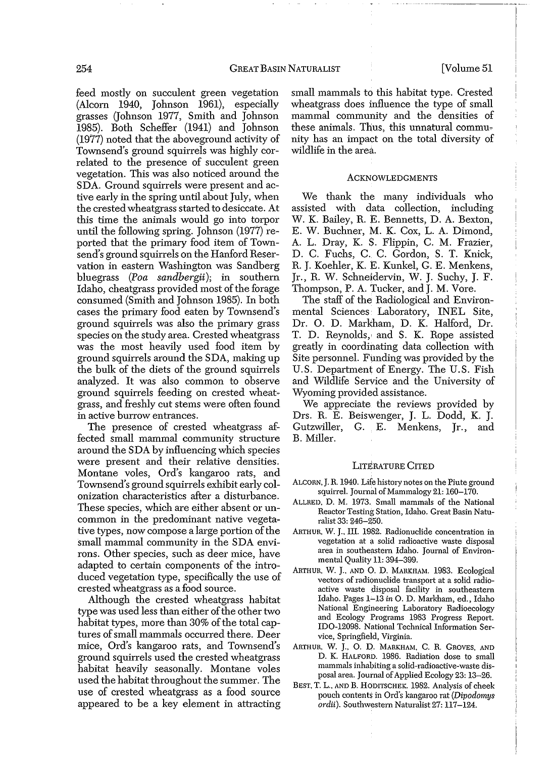feed mostly on succulent green vegetation (Alcorn 1940, Johnson 1961), especially grasses Gohnson 1977, Smith and Johnson 1985). Both Scheffer (1941) and Johnson (1977) noted that the aboveground activity of Townsend's ground squirrels was highly correlated to the presence of succulent green vegetation. This was also noticed around the SDA. Ground squirrels were present and active early in the spring until about July, when the crested wheatgrass started to desiccate. At this time the animals would go into torpor until the following spring. Johnson (1977) reported that the primary food item of Townsend's ground squirrels on the Hanford Reservation in eastern Washington was Sandberg bluegrass *(Paa sandbergii);* in southern Idaho, cheatgrass provided most of the forage consumed (Smith and Johnson 1985). In both cases the primary food eaten by Townsend's ground squirrels was also the primary grass species on the study area. Crested wheatgrass was the most heavily used food item by ground squirrels around the SDA, making up the bulk of the diets of the ground squirrels analyzed. It was also common to observe ground squirrels feeding on crested wheatgrass, and freshly cut stems were often found in active burrow entrances.

The presence of crested wheatgrass affected small mammal community structure around the SDA by influencing which species were present and their relative densities. Montane voles, Ord's kangaroo rats, and Townsend's ground squirrels exhibit early colonization characteristics after a disturbance. These species, which are either absent or uncommon in the predominant native vegetative types, now compose a large portion of the small mammal community in the SDA environs. Other species, such as deer mice, have adapted to certain components of the introduced vegetation type, specifically the use of crested wheatgrass as a food source.

Although the crested wheatgrass habitat type was used less than either of the other two habitat types, more than 30% of the total captures of small mammals occurred there. Deer mice, Ord's kangaroo rats, and Townsend's ground squirrels used the crested wheatgrass habitat heavily seasonally. Montane voles used the habitat throughout the summer. The use of crested wheatgrass as a food source appeared to be a key element in attracting

small mammals to this habitat type. Crested wheatgrass does influence the type of small mammal community and the densities of these animals. Thus, this unnatural community has an impact on the total diversity of wildlife in the area.

#### **ACKNOWLEDGMENTS**

We thank the many individuals who assisted with data collection, including W. K. Bailey, R. E. Bennetts, D. A. Bexton, E. W. Buchner, M. K. Cox, L. A. Dimond, A. L. Dray, K. S. Flippin, C. M. Frazier, D. C. Fuchs, C. C. Gordon, S. T. Knick, R. J. Koehler, K. E. Kunkel, G. E. Menkens, Jr., R. W. Schneidervin, W. J. Suchy, J. F. Thompson, P. A. Tucker, and J. M. Vore.

The staff of the Radiological and Environmental Sciences Laboratory, INEL Site, Dr. O. D. Markham, D. K. Halford, Dr. T. D. Reynolds,! and S. K. Rope assisted greatly in coordinating data collection with Site personnel. Funding was provided by the U.S. Department of Energy. The U.S. Fish and Wildlife Service and the University of Wyoming provided assistance.

We appreciate the reviews provided by Drs. R. E. Beiswenger, J. L. Dodd, K. J. Gutzwiller, G. E. Menkens, Jr., and B. Miller.

#### LITERATURE CITED

- ALCORN, J. R. 1940. Life history notes on the Piute ground squirrel. Journal of Mammalogy 21: 160-170.
- ALLRED, D. M. 1973. Small mammals of the National Reactor Testing Station, Idaho. Great Basin Naturalist 33: 246-250.
- ARTHUR, W. J., III. 19\$2. Radionuclide concentration in vegetation at a solid radioactive waste disposal area in southeastern Idaho. Journal of Environmental Quality 11: 394-399.
- ARTHUR. W. J., AND O. D. MARKHAM. 1983. Ecological vectors of radionuclide transport at a solid radioactive waste disposal facility in southeastern Idaho. Pages 1-13 *in* O. D. Markham, ed., Idaho National Engineering Laboratory Radioecology and Ecology Programs 1983 Progress Report. IDO-12098. National Technical Information Service, Springfield, Virginia.
- ARTHUR, W. J., O. D. MARKHAM, C. R. GROVES, AND D. K. HALFORD. 1986. Radiation dose to small mammals inhabiting a solid-radioactive-waste disposal area. Journal of Applied Ecology 23: 13-26.
- BEST, T. L., AND B. HODITSCHEK. 1982. Analysis of cheek pouch contents in Ord's kangaroo rat *(Dipodomys ordii).* Southwestern Naturalist 27: 117-124.